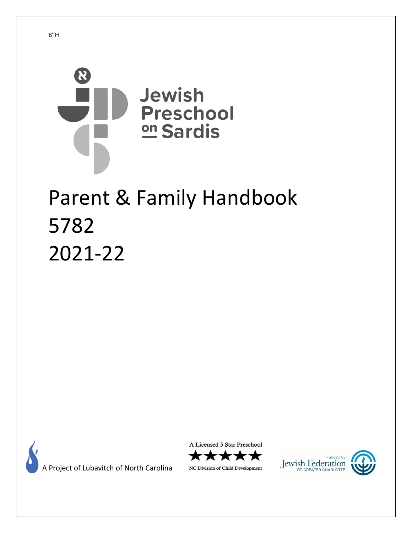

# Parent & Family Handbook 5782 2021-22



A Project of Lubavitch of North Carolina

A Licensed 5 Star Preschool



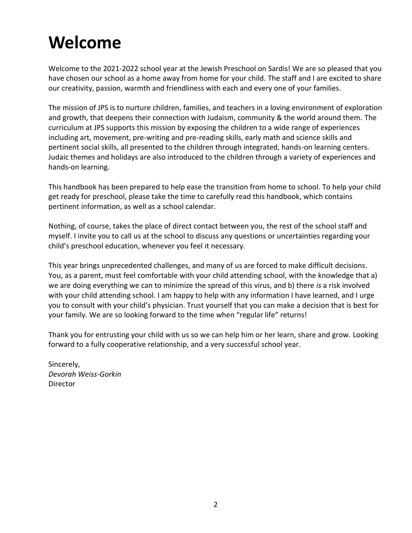# **Welcome**

Welcome to the 2021-2022 school year at the Jewish Preschool on Sardis! We are so pleased that you have chosen our school as a home away from home for your child. The staff and I are excited to share our creativity, passion, warmth and friendliness with each and every one of your families.

The mission of JPS is to nurture children, families, and teachers in a loving environment of exploration and growth, that deepens their connection with Judaism, community & the world around them. The curriculum at JPS supports this mission by exposing the children to a wide range of experiences including art, movement, pre-writing and pre-reading skills, early math and science skills and pertinent social skills, all presented to the children through integrated, hands-on learning centers. Judaic themes and holidays are also introduced to the children through a variety of experiences and hands-on learning.

This handbook has been prepared to help ease the transition from home to school. To help your child get ready for preschool, please take the time to carefully read this handbook, which contains pertinent information, as well as a school calendar.

Nothing, of course, takes the place of direct contact between you, the rest of the school staff and myself. I invite you to call us at the school to discuss any questions or uncertainties regarding your child's preschool education, whenever you feel it necessary.

This year brings unprecedented challenges, and many of us are forced to make difficult decisions. You, as a parent, must feel comfortable with your child attending school, with the knowledge that a) we are doing everything we can to minimize the spread of this virus, and b) there *is* a risk involved with your child attending school. I am happy to help with any information I have learned, and I urge you to consult with your child's physician. Trust yourself that you can make a decision that is best for your family. We are so looking forward to the time when "regular life" returns!

Thank you for entrusting your child with us so we can help him or her learn, share and grow. Looking forward to a fully cooperative relationship, and a very successful school year.

Sincerely, *Devorah Weiss-Gorkin* **Director**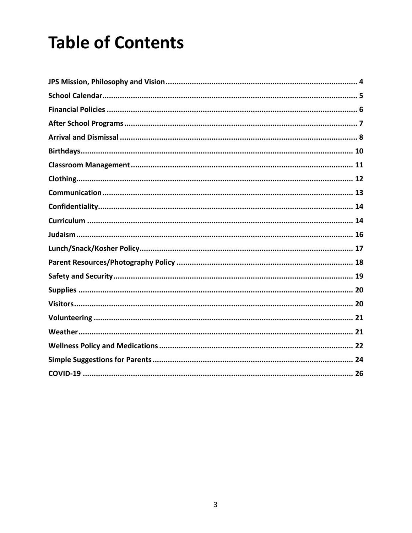# **Table of Contents**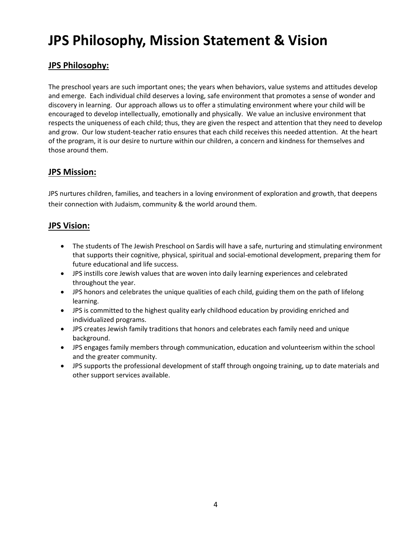# **JPS Philosophy, Mission Statement & Vision**

## **JPS Philosophy:**

The preschool years are such important ones; the years when behaviors, value systems and attitudes develop and emerge. Each individual child deserves a loving, safe environment that promotes a sense of wonder and discovery in learning. Our approach allows us to offer a stimulating environment where your child will be encouraged to develop intellectually, emotionally and physically. We value an inclusive environment that respects the uniqueness of each child; thus, they are given the respect and attention that they need to develop and grow. Our low student-teacher ratio ensures that each child receives this needed attention. At the heart of the program, it is our desire to nurture within our children, a concern and kindness for themselves and those around them.

## **JPS Mission:**

JPS nurtures children, families, and teachers in a loving environment of exploration and growth, that deepens their connection with Judaism, community & the world around them.

### **JPS Vision:**

- The students of The Jewish Preschool on Sardis will have a safe, nurturing and stimulating environment that supports their cognitive, physical, spiritual and social-emotional development, preparing them for future educational and life success.
- JPS instills core Jewish values that are woven into daily learning experiences and celebrated throughout the year.
- JPS honors and celebrates the unique qualities of each child, guiding them on the path of lifelong learning.
- JPS is committed to the highest quality early childhood education by providing enriched and individualized programs.
- JPS creates Jewish family traditions that honors and celebrates each family need and unique background.
- JPS engages family members through communication, education and volunteerism within the school and the greater community.
- JPS supports the professional development of staff through ongoing training, up to date materials and other support services available.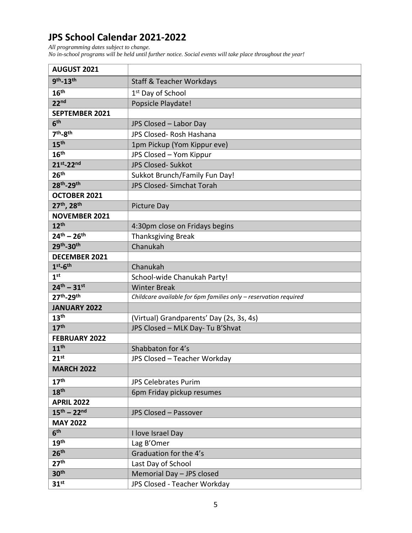## **JPS School Calendar 2021-2022**

*All programming dates subject to change.*

*No in-school programs will be held until further notice. Social events will take place throughout the year!*

| <b>AUGUST 2021</b>                 |                                                                  |
|------------------------------------|------------------------------------------------------------------|
| 9th <sub>-13th</sub>               | <b>Staff &amp; Teacher Workdays</b>                              |
| 16 <sup>th</sup>                   | 1 <sup>st</sup> Day of School                                    |
| 22 <sup>nd</sup>                   | Popsicle Playdate!                                               |
| <b>SEPTEMBER 2021</b>              |                                                                  |
| 6 <sup>th</sup>                    | JPS Closed - Labor Day                                           |
| 7 <sup>th</sup> -8 <sup>th</sup>   | JPS Closed- Rosh Hashana                                         |
| 15 <sup>th</sup>                   | 1pm Pickup (Yom Kippur eve)                                      |
| 16 <sup>th</sup>                   | JPS Closed - Yom Kippur                                          |
| 21st <sub>-22nd</sub>              | <b>JPS Closed- Sukkot</b>                                        |
| 26 <sup>th</sup>                   | Sukkot Brunch/Family Fun Day!                                    |
| 28th-29th                          | JPS Closed- Simchat Torah                                        |
| OCTOBER 2021                       |                                                                  |
| 27th, 28th                         | Picture Day                                                      |
| <b>NOVEMBER 2021</b>               |                                                                  |
| 12 <sup>th</sup>                   | 4:30pm close on Fridays begins                                   |
| $24^{th} - 26^{th}$                | <b>Thanksgiving Break</b>                                        |
| 29th <sub>-30th</sub>              | Chanukah                                                         |
| <b>DECEMBER 2021</b>               |                                                                  |
| $1st-6th$                          | Chanukah                                                         |
| 1 <sup>st</sup>                    | School-wide Chanukah Party!                                      |
| $24^{th} - 31^{st}$                | <b>Winter Break</b>                                              |
| 27 <sup>th</sup> -29 <sup>th</sup> | Childcare available for 6pm families only - reservation required |
| <b>JANUARY 2022</b>                |                                                                  |
| 13 <sup>th</sup>                   | (Virtual) Grandparents' Day (2s, 3s, 4s)                         |
| 17 <sup>th</sup>                   | JPS Closed - MLK Day- Tu B'Shvat                                 |
| <b>FEBRUARY 2022</b>               |                                                                  |
| 11 <sup>th</sup>                   | Shabbaton for 4's                                                |
| $21^{st}$                          | JPS Closed - Teacher Workday                                     |
| <b>MARCH 2022</b>                  |                                                                  |
| 17 <sup>th</sup>                   | <b>JPS Celebrates Purim</b>                                      |
| 18 <sup>th</sup>                   | 6pm Friday pickup resumes                                        |
| <b>APRIL 2022</b>                  |                                                                  |
| $15^{th} - 22^{nd}$                | <b>JPS Closed - Passover</b>                                     |
| <b>MAY 2022</b>                    |                                                                  |
| 6 <sup>th</sup>                    | I love Israel Day                                                |
| 19 <sup>th</sup>                   | Lag B'Omer                                                       |
| 26 <sup>th</sup>                   | Graduation for the 4's                                           |
| 27 <sup>th</sup>                   | Last Day of School                                               |
| 30 <sup>th</sup>                   | Memorial Day - JPS closed                                        |
| 31 <sup>st</sup>                   | JPS Closed - Teacher Workday                                     |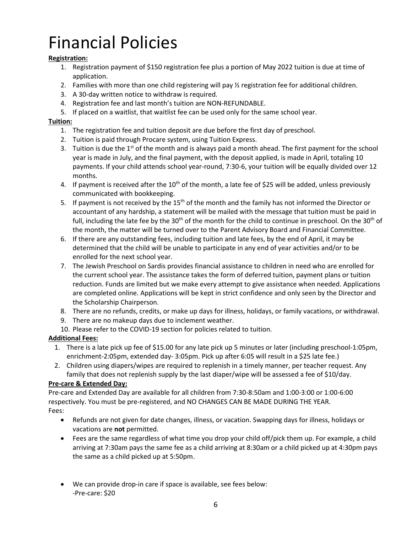# Financial Policies

### **Registration:**

- 1. Registration payment of \$150 registration fee plus a portion of May 2022 tuition is due at time of application.
- 2. Families with more than one child registering will pay  $\frac{1}{2}$  registration fee for additional children.
- 3. A 30-day written notice to withdraw is required.
- 4. Registration fee and last month's tuition are NON-REFUNDABLE.
- 5. If placed on a waitlist, that waitlist fee can be used only for the same school year.

#### **Tuition:**

- 1. The registration fee and tuition deposit are due before the first day of preschool.
- 2. Tuition is paid through Procare system, using Tuition Express.
- 3. Tuition is due the  $1<sup>st</sup>$  of the month and is always paid a month ahead. The first payment for the school year is made in July, and the final payment, with the deposit applied, is made in April, totaling 10 payments. If your child attends school year-round, 7:30-6, your tuition will be equally divided over 12 months.
- 4. If payment is received after the  $10<sup>th</sup>$  of the month, a late fee of \$25 will be added, unless previously communicated with bookkeeping.
- 5. If payment is not received by the  $15<sup>th</sup>$  of the month and the family has not informed the Director or accountant of any hardship, a statement will be mailed with the message that tuition must be paid in full, including the late fee by the 30<sup>th</sup> of the month for the child to continue in preschool. On the 30<sup>th</sup> of the month, the matter will be turned over to the Parent Advisory Board and Financial Committee.
- 6. If there are any outstanding fees, including tuition and late fees, by the end of April, it may be determined that the child will be unable to participate in any end of year activities and/or to be enrolled for the next school year.
- 7. The Jewish Preschool on Sardis provides financial assistance to children in need who are enrolled for the current school year. The assistance takes the form of deferred tuition, payment plans or tuition reduction. Funds are limited but we make every attempt to give assistance when needed. Applications are completed online. Applications will be kept in strict confidence and only seen by the Director and the Scholarship Chairperson.
- 8. There are no refunds, credits, or make up days for illness, holidays, or family vacations, or withdrawal.
- 9. There are no makeup days due to inclement weather.
- 10. Please refer to the COVID-19 section for policies related to tuition.

#### **Additional Fees:**

- 1. There is a late pick up fee of \$15.00 for any late pick up 5 minutes or later (including preschool-1:05pm, enrichment-2:05pm, extended day- 3:05pm. Pick up after 6:05 will result in a \$25 late fee.)
- 2. Children using diapers/wipes are required to replenish in a timely manner, per teacher request. Any family that does not replenish supply by the last diaper/wipe will be assessed a fee of \$10/day.

#### **Pre-care & Extended Day:**

Pre-care and Extended Day are available for all children from 7:30-8:50am and 1:00-3:00 or 1:00-6:00 respectively. You must be pre-registered, and NO CHANGES CAN BE MADE DURING THE YEAR. Fees:

- Refunds are not given for date changes, illness, or vacation. Swapping days for illness, holidays or vacations are **not** permitted.
- Fees are the same regardless of what time you drop your child off/pick them up. For example, a child arriving at 7:30am pays the same fee as a child arriving at 8:30am or a child picked up at 4:30pm pays the same as a child picked up at 5:50pm.
- We can provide drop-in care if space is available, see fees below: -Pre-care: \$20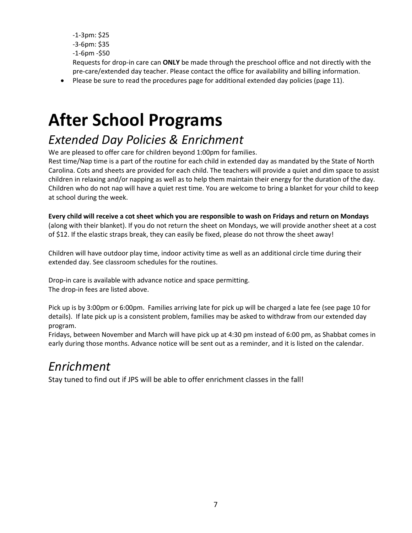- -1-3pm: \$25 -3-6pm: \$35 -1-6pm -\$50 Requests for drop-in care can **ONLY** be made through the preschool office and not directly with the pre-care/extended day teacher. Please contact the office for availability and billing information.
- Please be sure to read the procedures page for additional extended day policies (page 11).

# **After School Programs**

# *Extended Day Policies & Enrichment*

We are pleased to offer care for children beyond 1:00pm for families.

Rest time/Nap time is a part of the routine for each child in extended day as mandated by the State of North Carolina. Cots and sheets are provided for each child. The teachers will provide a quiet and dim space to assist children in relaxing and/or napping as well as to help them maintain their energy for the duration of the day. Children who do not nap will have a quiet rest time. You are welcome to bring a blanket for your child to keep at school during the week.

**Every child will receive a cot sheet which you are responsible to wash on Fridays and return on Mondays**

(along with their blanket). If you do not return the sheet on Mondays, we will provide another sheet at a cost of \$12. If the elastic straps break, they can easily be fixed, please do not throw the sheet away!

Children will have outdoor play time, indoor activity time as well as an additional circle time during their extended day. See classroom schedules for the routines.

Drop-in care is available with advance notice and space permitting. The drop-in fees are listed above.

Pick up is by 3:00pm or 6:00pm. Families arriving late for pick up will be charged a late fee (see page 10 for details). If late pick up is a consistent problem, families may be asked to withdraw from our extended day program.

Fridays, between November and March will have pick up at 4:30 pm instead of 6:00 pm, as Shabbat comes in early during those months. Advance notice will be sent out as a reminder, and it is listed on the calendar.

## *Enrichment*

Stay tuned to find out if JPS will be able to offer enrichment classes in the fall!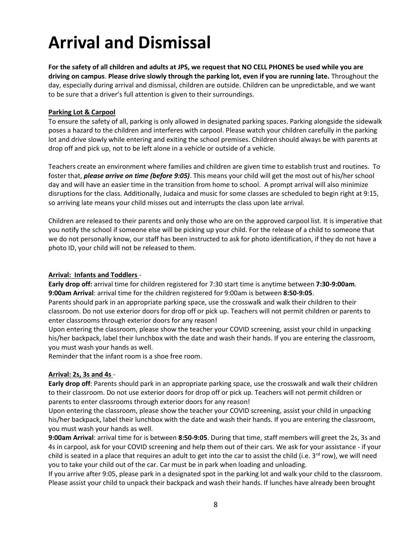# **Arrival and Dismissal**

**For the safety of all children and adults at JPS, we request that NO CELL PHONES be used while you are driving on campus**. **Please drive slowly through the parking lot, even if you are running late.** Throughout the day, especially during arrival and dismissal, children are outside. Children can be unpredictable, and we want to be sure that a driver's full attention is given to their surroundings.

#### **Parking Lot & Carpool**

To ensure the safety of all, parking is only allowed in designated parking spaces. Parking alongside the sidewalk poses a hazard to the children and interferes with carpool. Please watch your children carefully in the parking lot and drive slowly while entering and exiting the school premises. Children should always be with parents at drop off and pick up, not to be left alone in a vehicle or outside of a vehicle.

Teachers create an environment where families and children are given time to establish trust and routines. To foster that, *please arrive on time (before 9:05)*. This means your child will get the most out of his/her school day and will have an easier time in the transition from home to school. A prompt arrival will also minimize disruptions for the class. Additionally, Judaica and music for some classes are scheduled to begin right at 9:15, so arriving late means your child misses out and interrupts the class upon late arrival.

Children are released to their parents and only those who are on the approved carpool list. It is imperative that you notify the school if someone else will be picking up your child. For the release of a child to someone that we do not personally know, our staff has been instructed to ask for photo identification, if they do not have a photo ID, your child will not be released to them.

#### **Arrival: Infants and Toddlers** -

**Early drop off:** arrival time for children registered for 7:30 start time is anytime between **7:30-9:00am**. **9:00am Arrival**: arrival time for the children registered for 9:00am is between **8:50-9:05**.

Parents should park in an appropriate parking space, use the crosswalk and walk their children to their classroom. Do not use exterior doors for drop off or pick up. Teachers will not permit children or parents to enter classrooms through exterior doors for any reason!

Upon entering the classroom, please show the teacher your COVID screening, assist your child in unpacking his/her backpack, label their lunchbox with the date and wash their hands. If you are entering the classroom, you must wash your hands as well.

Reminder that the infant room is a shoe free room.

#### **Arrival: 2s, 3s and 4s** -

**Early drop off**: Parents should park in an appropriate parking space, use the crosswalk and walk their children to their classroom. Do not use exterior doors for drop off or pick up. Teachers will not permit children or parents to enter classrooms through exterior doors for any reason!

Upon entering the classroom, please show the teacher your COVID screening, assist your child in unpacking his/her backpack, label their lunchbox with the date and wash their hands. If you are entering the classroom, you must wash your hands as well.

**9:00am Arrival**: arrival time for is between **8:50-9:05**. During that time, staff members will greet the 2s, 3s and 4s in carpool, ask for your COVID screening and help them out of their cars. We ask for your assistance - if your child is seated in a place that requires an adult to get into the car to assist the child (i.e.  $3^{rd}$  row), we will need you to take your child out of the car. Car must be in park when loading and unloading.

If you arrive after 9:05, please park in a designated spot in the parking lot and walk your child to the classroom. Please assist your child to unpack their backpack and wash their hands. If lunches have already been brought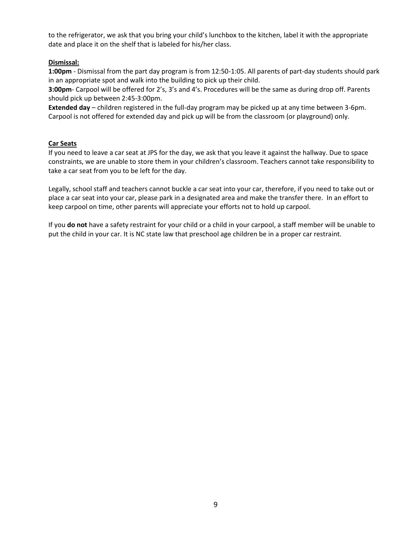to the refrigerator, we ask that you bring your child's lunchbox to the kitchen, label it with the appropriate date and place it on the shelf that is labeled for his/her class.

#### **Dismissal:**

**1:00pm** - Dismissal from the part day program is from 12:50-1:05. All parents of part-day students should park in an appropriate spot and walk into the building to pick up their child.

**3:00pm**- Carpool will be offered for 2's, 3's and 4's. Procedures will be the same as during drop off. Parents should pick up between 2:45-3:00pm.

**Extended day** – children registered in the full-day program may be picked up at any time between 3-6pm. Carpool is not offered for extended day and pick up will be from the classroom (or playground) only.

#### **Car Seats**

If you need to leave a car seat at JPS for the day, we ask that you leave it against the hallway. Due to space constraints, we are unable to store them in your children's classroom. Teachers cannot take responsibility to take a car seat from you to be left for the day.

Legally, school staff and teachers cannot buckle a car seat into your car, therefore, if you need to take out or place a car seat into your car, please park in a designated area and make the transfer there. In an effort to keep carpool on time, other parents will appreciate your efforts not to hold up carpool.

If you **do not** have a safety restraint for your child or a child in your carpool, a staff member will be unable to put the child in your car. It is NC state law that preschool age children be in a proper car restraint.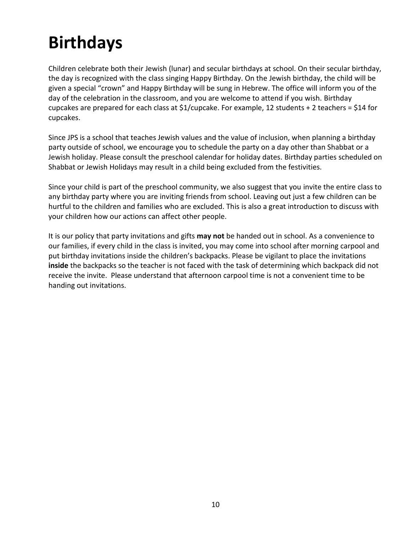# **Birthdays**

Children celebrate both their Jewish (lunar) and secular birthdays at school. On their secular birthday, the day is recognized with the class singing Happy Birthday. On the Jewish birthday, the child will be given a special "crown" and Happy Birthday will be sung in Hebrew. The office will inform you of the day of the celebration in the classroom, and you are welcome to attend if you wish. Birthday cupcakes are prepared for each class at \$1/cupcake. For example, 12 students + 2 teachers = \$14 for cupcakes.

Since JPS is a school that teaches Jewish values and the value of inclusion, when planning a birthday party outside of school, we encourage you to schedule the party on a day other than Shabbat or a Jewish holiday. Please consult the preschool calendar for holiday dates. Birthday parties scheduled on Shabbat or Jewish Holidays may result in a child being excluded from the festivities.

Since your child is part of the preschool community, we also suggest that you invite the entire class to any birthday party where you are inviting friends from school. Leaving out just a few children can be hurtful to the children and families who are excluded. This is also a great introduction to discuss with your children how our actions can affect other people.

It is our policy that party invitations and gifts **may not** be handed out in school. As a convenience to our families, if every child in the class is invited, you may come into school after morning carpool and put birthday invitations inside the children's backpacks. Please be vigilant to place the invitations **inside** the backpacks so the teacher is not faced with the task of determining which backpack did not receive the invite. Please understand that afternoon carpool time is not a convenient time to be handing out invitations.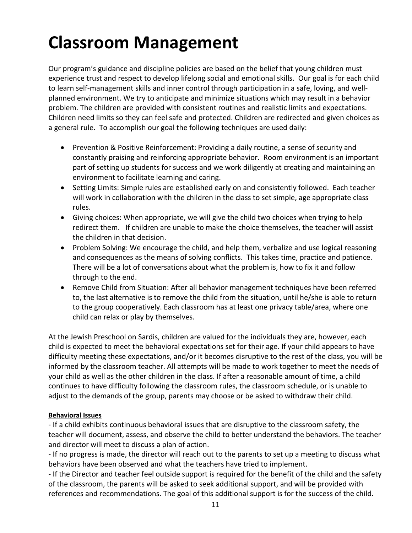# **Classroom Management**

Our program's guidance and discipline policies are based on the belief that young children must experience trust and respect to develop lifelong social and emotional skills. Our goal is for each child to learn self-management skills and inner control through participation in a safe, loving, and wellplanned environment. We try to anticipate and minimize situations which may result in a behavior problem. The children are provided with consistent routines and realistic limits and expectations. Children need limits so they can feel safe and protected. Children are redirected and given choices as a general rule. To accomplish our goal the following techniques are used daily:

- Prevention & Positive Reinforcement: Providing a daily routine, a sense of security and constantly praising and reinforcing appropriate behavior. Room environment is an important part of setting up students for success and we work diligently at creating and maintaining an environment to facilitate learning and caring.
- Setting Limits: Simple rules are established early on and consistently followed. Each teacher will work in collaboration with the children in the class to set simple, age appropriate class rules.
- Giving choices: When appropriate, we will give the child two choices when trying to help redirect them. If children are unable to make the choice themselves, the teacher will assist the children in that decision.
- Problem Solving: We encourage the child, and help them, verbalize and use logical reasoning and consequences as the means of solving conflicts. This takes time, practice and patience. There will be a lot of conversations about what the problem is, how to fix it and follow through to the end.
- Remove Child from Situation: After all behavior management techniques have been referred to, the last alternative is to remove the child from the situation, until he/she is able to return to the group cooperatively. Each classroom has at least one privacy table/area, where one child can relax or play by themselves.

At the Jewish Preschool on Sardis, children are valued for the individuals they are, however, each child is expected to meet the behavioral expectations set for their age. If your child appears to have difficulty meeting these expectations, and/or it becomes disruptive to the rest of the class, you will be informed by the classroom teacher. All attempts will be made to work together to meet the needs of your child as well as the other children in the class. If after a reasonable amount of time, a child continues to have difficulty following the classroom rules, the classroom schedule, or is unable to adjust to the demands of the group, parents may choose or be asked to withdraw their child.

### **Behavioral Issues**

- If a child exhibits continuous behavioral issues that are disruptive to the classroom safety, the teacher will document, assess, and observe the child to better understand the behaviors. The teacher and director will meet to discuss a plan of action.

- If no progress is made, the director will reach out to the parents to set up a meeting to discuss what behaviors have been observed and what the teachers have tried to implement.

- If the Director and teacher feel outside support is required for the benefit of the child and the safety of the classroom, the parents will be asked to seek additional support, and will be provided with references and recommendations. The goal of this additional support is for the success of the child.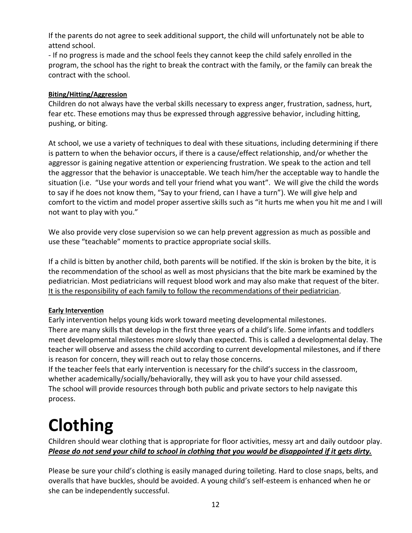If the parents do not agree to seek additional support, the child will unfortunately not be able to attend school.

- If no progress is made and the school feels they cannot keep the child safely enrolled in the program, the school has the right to break the contract with the family, or the family can break the contract with the school.

### **Biting/Hitting/Aggression**

Children do not always have the verbal skills necessary to express anger, frustration, sadness, hurt, fear etc. These emotions may thus be expressed through aggressive behavior, including hitting, pushing, or biting.

At school, we use a variety of techniques to deal with these situations, including determining if there is pattern to when the behavior occurs, if there is a cause/effect relationship, and/or whether the aggressor is gaining negative attention or experiencing frustration. We speak to the action and tell the aggressor that the behavior is unacceptable. We teach him/her the acceptable way to handle the situation (i.e. "Use your words and tell your friend what you want". We will give the child the words to say if he does not know them, "Say to your friend, can I have a turn"). We will give help and comfort to the victim and model proper assertive skills such as "it hurts me when you hit me and I will not want to play with you."

We also provide very close supervision so we can help prevent aggression as much as possible and use these "teachable" moments to practice appropriate social skills.

If a child is bitten by another child, both parents will be notified. If the skin is broken by the bite, it is the recommendation of the school as well as most physicians that the bite mark be examined by the pediatrician. Most pediatricians will request blood work and may also make that request of the biter. It is the responsibility of each family to follow the recommendations of their pediatrician.

### **Early Intervention**

Early intervention helps young kids work toward meeting developmental milestones. There are many skills that develop in the first three years of a child's life. Some infants and toddlers meet developmental milestones more slowly than expected. This is called a developmental delay. The teacher will observe and assess the child according to current developmental milestones, and if there is reason for concern, they will reach out to relay those concerns.

If the teacher feels that early intervention is necessary for the child's success in the classroom, whether academically/socially/behaviorally, they will ask you to have your child assessed. The school will provide resources through both public and private sectors to help navigate this process.

# **Clothing**

Children should wear clothing that is appropriate for floor activities, messy art and daily outdoor play. *Please do not send your child to school in clothing that you would be disappointed if it gets dirty.*

Please be sure your child's clothing is easily managed during toileting. Hard to close snaps, belts, and overalls that have buckles, should be avoided. A young child's self-esteem is enhanced when he or she can be independently successful.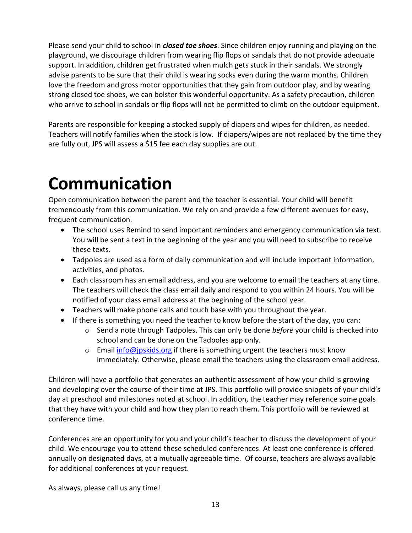Please send your child to school in *closed toe shoes*. Since children enjoy running and playing on the playground, we discourage children from wearing flip flops or sandals that do not provide adequate support. In addition, children get frustrated when mulch gets stuck in their sandals. We strongly advise parents to be sure that their child is wearing socks even during the warm months. Children love the freedom and gross motor opportunities that they gain from outdoor play, and by wearing strong closed toe shoes, we can bolster this wonderful opportunity. As a safety precaution, children who arrive to school in sandals or flip flops will not be permitted to climb on the outdoor equipment.

Parents are responsible for keeping a stocked supply of diapers and wipes for children, as needed. Teachers will notify families when the stock is low. If diapers/wipes are not replaced by the time they are fully out, JPS will assess a \$15 fee each day supplies are out.

# **Communication**

Open communication between the parent and the teacher is essential. Your child will benefit tremendously from this communication. We rely on and provide a few different avenues for easy, frequent communication.

- The school uses Remind to send important reminders and emergency communication via text. You will be sent a text in the beginning of the year and you will need to subscribe to receive these texts.
- Tadpoles are used as a form of daily communication and will include important information, activities, and photos.
- Each classroom has an email address, and you are welcome to email the teachers at any time. The teachers will check the class email daily and respond to you within 24 hours. You will be notified of your class email address at the beginning of the school year.
- Teachers will make phone calls and touch base with you throughout the year.
- If there is something you need the teacher to know before the start of the day, you can:
	- o Send a note through Tadpoles. This can only be done *before* your child is checked into school and can be done on the Tadpoles app only.
	- $\circ$  Email [info@jpskids.org](mailto:info@jpskids.org) if there is something urgent the teachers must know immediately. Otherwise, please email the teachers using the classroom email address.

Children will have a portfolio that generates an authentic assessment of how your child is growing and developing over the course of their time at JPS. This portfolio will provide snippets of your child's day at preschool and milestones noted at school. In addition, the teacher may reference some goals that they have with your child and how they plan to reach them. This portfolio will be reviewed at conference time.

Conferences are an opportunity for you and your child's teacher to discuss the development of your child. We encourage you to attend these scheduled conferences. At least one conference is offered annually on designated days, at a mutually agreeable time. Of course, teachers are always available for additional conferences at your request.

As always, please call us any time!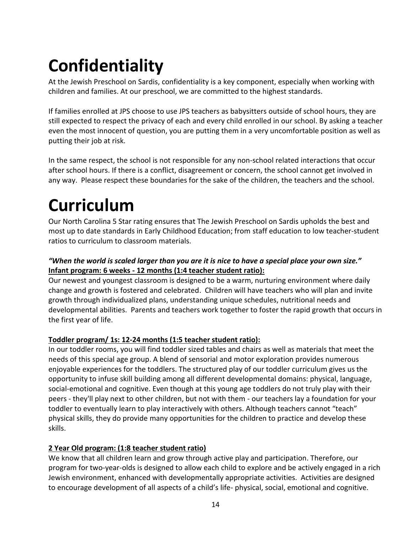# **Confidentiality**

At the Jewish Preschool on Sardis, confidentiality is a key component, especially when working with children and families. At our preschool, we are committed to the highest standards.

If families enrolled at JPS choose to use JPS teachers as babysitters outside of school hours, they are still expected to respect the privacy of each and every child enrolled in our school. By asking a teacher even the most innocent of question, you are putting them in a very uncomfortable position as well as putting their job at risk.

In the same respect, the school is not responsible for any non-school related interactions that occur after school hours. If there is a conflict, disagreement or concern, the school cannot get involved in any way. Please respect these boundaries for the sake of the children, the teachers and the school.

# **Curriculum**

Our North Carolina 5 Star rating ensures that The Jewish Preschool on Sardis upholds the best and most up to date standards in Early Childhood Education; from staff education to low teacher-student ratios to curriculum to classroom materials.

### *"When the world is scaled larger than you are it is nice to have a special place your own size."* **Infant program: 6 weeks - 12 months (1:4 teacher student ratio):**

Our newest and youngest classroom is designed to be a warm, nurturing environment where daily change and growth is fostered and celebrated. Children will have teachers who will plan and invite growth through individualized plans, understanding unique schedules, nutritional needs and developmental abilities. Parents and teachers work together to foster the rapid growth that occurs in the first year of life.

### **Toddler program/ 1s: 12-24 months (1:5 teacher student ratio):**

In our toddler rooms, you will find toddler sized tables and chairs as well as materials that meet the needs of this special age group. A blend of sensorial and motor exploration provides numerous enjoyable experiences for the toddlers. The structured play of our toddler curriculum gives us the opportunity to infuse skill building among all different developmental domains: physical, language, social-emotional and cognitive. Even though at this young age toddlers do not truly play with their peers - they'll play next to other children, but not with them - our teachers lay a foundation for your toddler to eventually learn to play interactively with others. Although teachers cannot "teach" physical skills, they do provide many opportunities for the children to practice and develop these skills.

### **2 Year Old program: (1:8 teacher student ratio)**

We know that all children learn and grow through active play and participation. Therefore, our program for two-year-olds is designed to allow each child to explore and be actively engaged in a rich Jewish environment, enhanced with developmentally appropriate activities. Activities are designed to encourage development of all aspects of a child's life- physical, social, emotional and cognitive.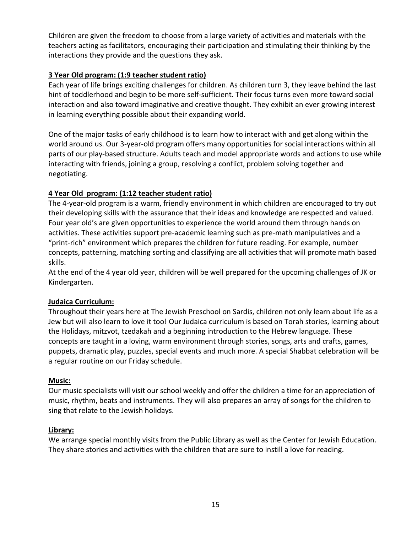Children are given the freedom to choose from a large variety of activities and materials with the teachers acting as facilitators, encouraging their participation and stimulating their thinking by the interactions they provide and the questions they ask.

### **3 Year Old program: (1:9 teacher student ratio)**

Each year of life brings exciting challenges for children. As children turn 3, they leave behind the last hint of toddlerhood and begin to be more self-sufficient. Their focus turns even more toward social interaction and also toward imaginative and creative thought. They exhibit an ever growing interest in learning everything possible about their expanding world.

One of the major tasks of early childhood is to learn how to interact with and get along within the world around us. Our 3-year-old program offers many opportunities for social interactions within all parts of our play-based structure. Adults teach and model appropriate words and actions to use while interacting with friends, joining a group, resolving a conflict, problem solving together and negotiating.

### **4 Year Old program: (1:12 teacher student ratio)**

The 4-year-old program is a warm, friendly environment in which children are encouraged to try out their developing skills with the assurance that their ideas and knowledge are respected and valued. Four year old's are given opportunities to experience the world around them through hands on activities. These activities support pre-academic learning such as pre-math manipulatives and a "print-rich" environment which prepares the children for future reading. For example, number concepts, patterning, matching sorting and classifying are all activities that will promote math based skills.

At the end of the 4 year old year, children will be well prepared for the upcoming challenges of JK or Kindergarten.

### **Judaica Curriculum:**

Throughout their years here at The Jewish Preschool on Sardis, children not only learn about life as a Jew but will also learn to love it too! Our Judaica curriculum is based on Torah stories, learning about the Holidays, mitzvot, tzedakah and a beginning introduction to the Hebrew language. These concepts are taught in a loving, warm environment through stories, songs, arts and crafts, games, puppets, dramatic play, puzzles, special events and much more. A special Shabbat celebration will be a regular routine on our Friday schedule.

### **Music:**

Our music specialists will visit our school weekly and offer the children a time for an appreciation of music, rhythm, beats and instruments. They will also prepares an array of songs for the children to sing that relate to the Jewish holidays.

### **Library:**

We arrange special monthly visits from the Public Library as well as the Center for Jewish Education. They share stories and activities with the children that are sure to instill a love for reading.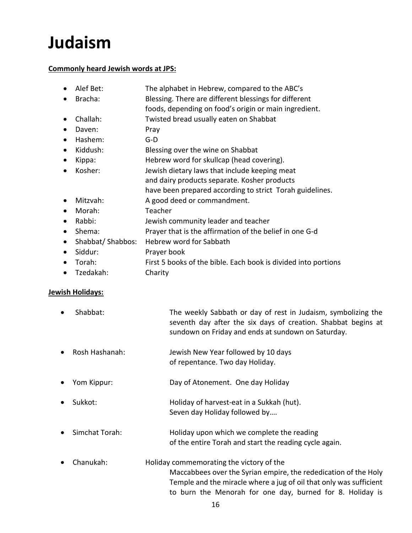# **Judaism**

### **Commonly heard Jewish words at JPS:**

- Alef Bet: The alphabet in Hebrew, compared to the ABC's
- Bracha: Blessing. There are different blessings for different
	- foods, depending on food's origin or main ingredient.
- Challah: Twisted bread usually eaten on Shabbat
- Daven: Pray
- Hashem: G-D
- Kiddush: Blessing over the wine on Shabbat
- Kippa: Hebrew word for skullcap (head covering).
- Kosher: Jewish dietary laws that include keeping meat
	- and dairy products separate. Kosher products
		- have been prepared according to strict Torah guidelines.
- Mitzvah: A good deed or commandment.
- Morah: Teacher
- Rabbi: Jewish community leader and teacher
- Shema: Prayer that is the affirmation of the belief in one G-d
- Shabbat/ Shabbos: Hebrew word for Sabbath
- Siddur: Prayer book
- Torah: First 5 books of the bible. Each book is divided into portions
- Tzedakah: Charity

### **Jewish Holidays:**

- Shabbat: The weekly Sabbath or day of rest in Judaism, symbolizing the seventh day after the six days of creation. Shabbat begins at sundown on Friday and ends at sundown on Saturday.
- Rosh Hashanah: Jewish New Year followed by 10 days of repentance. Two day Holiday.
- Yom Kippur: Day of Atonement. One day Holiday
- Sukkot: Holiday of harvest-eat in a Sukkah (hut). Seven day Holiday followed by….
- Simchat Torah: Holiday upon which we complete the reading of the entire Torah and start the reading cycle again.
- Chanukah: Holiday commemorating the victory of the Maccabbees over the Syrian empire, the rededication of the Holy Temple and the miracle where a jug of oil that only was sufficient to burn the Menorah for one day, burned for 8. Holiday is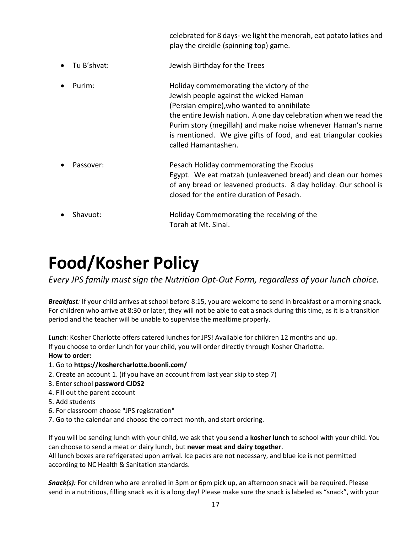celebrated for 8 days- we light the menorah, eat potato latkes and play the dreidle (spinning top) game.

- Tu B'shvat: Jewish Birthday for the Trees
- Purim: Holiday commemorating the victory of the Jewish people against the wicked Haman (Persian empire),who wanted to annihilate the entire Jewish nation. A one day celebration when we read the Purim story (megillah) and make noise whenever Haman's name is mentioned. We give gifts of food, and eat triangular cookies called Hamantashen.
- Passover: Pesach Holiday commemorating the Exodus Egypt. We eat matzah (unleavened bread) and clean our homes of any bread or leavened products. 8 day holiday. Our school is closed for the entire duration of Pesach.
- Shavuot: Holiday Commemorating the receiving of the Torah at Mt. Sinai.

# **Food/Kosher Policy**

*Every JPS family must sign the Nutrition Opt-Out Form, regardless of your lunch choice.*

*Breakfast:* If your child arrives at school before 8:15, you are welcome to send in breakfast or a morning snack. For children who arrive at 8:30 or later, they will not be able to eat a snack during this time, as it is a transition period and the teacher will be unable to supervise the mealtime properly.

*Lunch:* Kosher Charlotte offers catered lunches for JPS! Available for children 12 months and up. If you choose to order lunch for your child, you will order directly through Kosher Charlotte. **How to order:**

- 1. Go to **https://koshercharlotte.boonli.com/**
- 2. Create an account 1. (if you have an account from last year skip to step 7)
- 3. Enter school **password CJDS2**
- 4. Fill out the parent account
- 5. Add students
- 6. For classroom choose "JPS registration"
- 7. Go to the calendar and choose the correct month, and start ordering.

If you will be sending lunch with your child, we ask that you send a **kosher lunch** to school with your child. You can choose to send a meat or dairy lunch, but **never meat and dairy together**.

All lunch boxes are refrigerated upon arrival. Ice packs are not necessary, and blue ice is not permitted according to NC Health & Sanitation standards.

*Snack(s):* For children who are enrolled in 3pm or 6pm pick up, an afternoon snack will be required. Please send in a nutritious, filling snack as it is a long day! Please make sure the snack is labeled as "snack", with your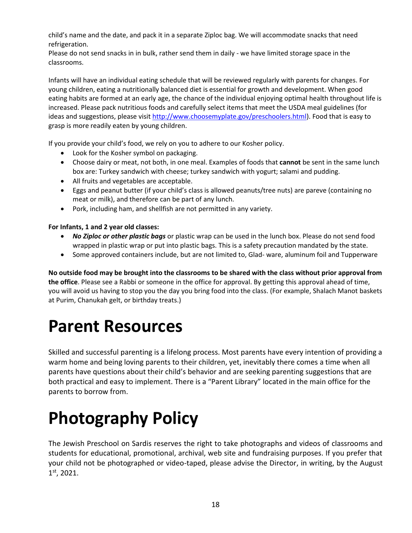child's name and the date, and pack it in a separate Ziploc bag. We will accommodate snacks that need refrigeration.

Please do not send snacks in in bulk, rather send them in daily - we have limited storage space in the classrooms.

Infants will have an individual eating schedule that will be reviewed regularly with parents for changes. For young children, eating a nutritionally balanced diet is essential for growth and development. When good eating habits are formed at an early age, the chance of the individual enjoying optimal health throughout life is increased. Please pack nutritious foods and carefully select items that meet the USDA meal guidelines (for ideas and suggestions, please visi[t http://www.choosemyplate.gov/preschoolers.html\)](http://www.choosemyplate.gov/preschoolers.html). Food that is easy to grasp is more readily eaten by young children.

If you provide your child's food, we rely on you to adhere to our Kosher policy.

- Look for the Kosher symbol on packaging.
- Choose dairy or meat, not both, in one meal. Examples of foods that **cannot** be sent in the same lunch box are: Turkey sandwich with cheese; turkey sandwich with yogurt; salami and pudding.
- All fruits and vegetables are acceptable.
- Eggs and peanut butter (if your child's class is allowed peanuts/tree nuts) are pareve (containing no meat or milk), and therefore can be part of any lunch.
- Pork, including ham, and shellfish are not permitted in any variety.

### **For Infants, 1 and 2 year old classes:**

- *No Ziploc or other plastic bags* or plastic wrap can be used in the lunch box. Please do not send food wrapped in plastic wrap or put into plastic bags. This is a safety precaution mandated by the state.
- Some approved containers include, but are not limited to, Glad- ware, aluminum foil and Tupperware

**No outside food may be brought into the classrooms to be shared with the class without prior approval from the office**. Please see a Rabbi or someone in the office for approval. By getting this approval ahead of time, you will avoid us having to stop you the day you bring food into the class. (For example, Shalach Manot baskets at Purim, Chanukah gelt, or birthday treats.)

# **Parent Resources**

Skilled and successful parenting is a lifelong process. Most parents have every intention of providing a warm home and being loving parents to their children, yet, inevitably there comes a time when all parents have questions about their child's behavior and are seeking parenting suggestions that are both practical and easy to implement. There is a "Parent Library" located in the main office for the parents to borrow from.

# **Photography Policy**

The Jewish Preschool on Sardis reserves the right to take photographs and videos of classrooms and students for educational, promotional, archival, web site and fundraising purposes. If you prefer that your child not be photographed or video-taped, please advise the Director, in writing, by the August 1 st, 2021.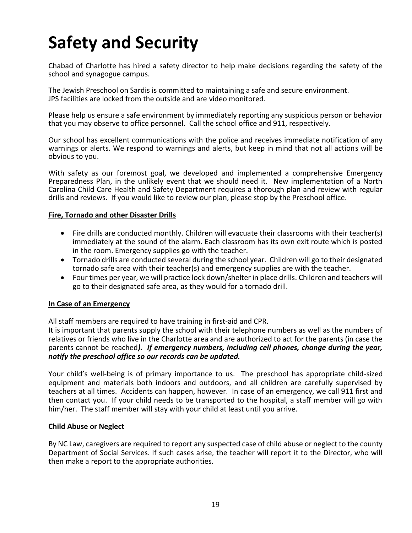# **Safety and Security**

Chabad of Charlotte has hired a safety director to help make decisions regarding the safety of the school and synagogue campus.

The Jewish Preschool on Sardis is committed to maintaining a safe and secure environment. JPS facilities are locked from the outside and are video monitored.

Please help us ensure a safe environment by immediately reporting any suspicious person or behavior that you may observe to office personnel. Call the school office and 911, respectively.

Our school has excellent communications with the police and receives immediate notification of any warnings or alerts. We respond to warnings and alerts, but keep in mind that not all actions will be obvious to you.

With safety as our foremost goal, we developed and implemented a comprehensive Emergency Preparedness Plan, in the unlikely event that we should need it. New implementation of a North Carolina Child Care Health and Safety Department requires a thorough plan and review with regular drills and reviews. If you would like to review our plan, please stop by the Preschool office.

#### **Fire, Tornado and other Disaster Drills**

- Fire drills are conducted monthly. Children will evacuate their classrooms with their teacher(s) immediately at the sound of the alarm. Each classroom has its own exit route which is posted in the room. Emergency supplies go with the teacher.
- Tornado drills are conducted several during the school year. Children will go to their designated tornado safe area with their teacher(s) and emergency supplies are with the teacher.
- Four times per year, we will practice lock down/shelter in place drills. Children and teachers will go to their designated safe area, as they would for a tornado drill.

#### **In Case of an Emergency**

All staff members are required to have training in first-aid and CPR.

It is important that parents supply the school with their telephone numbers as well as the numbers of relatives or friends who live in the Charlotte area and are authorized to act for the parents (in case the parents cannot be reached*). If emergency numbers, including cell phones, change during the year, notify the preschool office so our records can be updated.*

Your child's well-being is of primary importance to us. The preschool has appropriate child-sized equipment and materials both indoors and outdoors, and all children are carefully supervised by teachers at all times. Accidents can happen, however. In case of an emergency, we call 911 first and then contact you. If your child needs to be transported to the hospital, a staff member will go with him/her. The staff member will stay with your child at least until you arrive.

#### **Child Abuse or Neglect**

By NC Law, caregivers are required to report any suspected case of child abuse or neglect to the county Department of Social Services. If such cases arise, the teacher will report it to the Director, who will then make a report to the appropriate authorities.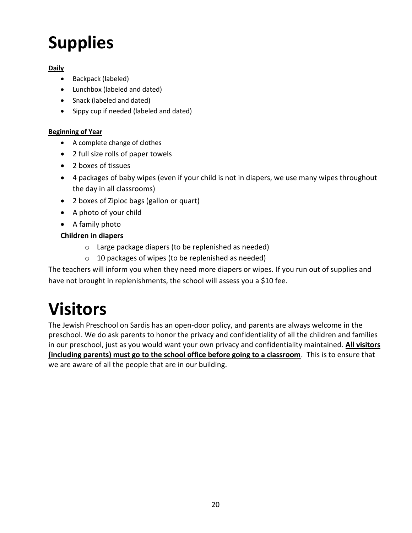# **Supplies**

### **Daily**

- Backpack (labeled)
- Lunchbox (labeled and dated)
- Snack (labeled and dated)
- Sippy cup if needed (labeled and dated)

### **Beginning of Year**

- A complete change of clothes
- 2 full size rolls of paper towels
- 2 boxes of tissues
- 4 packages of baby wipes (even if your child is not in diapers, we use many wipes throughout the day in all classrooms)
- 2 boxes of Ziploc bags (gallon or quart)
- A photo of your child
- A family photo

## **Children in diapers**

- o Large package diapers (to be replenished as needed)
- o 10 packages of wipes (to be replenished as needed)

The teachers will inform you when they need more diapers or wipes. If you run out of supplies and have not brought in replenishments, the school will assess you a \$10 fee.

# **Visitors**

The Jewish Preschool on Sardis has an open-door policy, and parents are always welcome in the preschool. We do ask parents to honor the privacy and confidentiality of all the children and families in our preschool, just as you would want your own privacy and confidentiality maintained. **All visitors (including parents) must go to the school office before going to a classroom**. This is to ensure that we are aware of all the people that are in our building.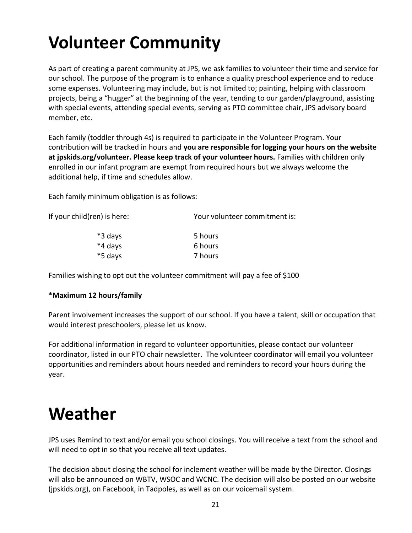# **Volunteer Community**

As part of creating a parent community at JPS, we ask families to volunteer their time and service for our school. The purpose of the program is to enhance a quality preschool experience and to reduce some expenses. Volunteering may include, but is not limited to; painting, helping with classroom projects, being a "hugger" at the beginning of the year, tending to our garden/playground, assisting with special events, attending special events, serving as PTO committee chair, JPS advisory board member, etc.

Each family (toddler through 4s) is required to participate in the Volunteer Program. Your contribution will be tracked in hours and **you are responsible for logging your hours on the website at jpskids.org/volunteer. Please keep track of your volunteer hours.** Families with children only enrolled in our infant program are exempt from required hours but we always welcome the additional help, if time and schedules allow.

Each family minimum obligation is as follows:

| If your child(ren) is here: | Your volunteer commitment is: |  |
|-----------------------------|-------------------------------|--|
| *3 days                     | 5 hours                       |  |
| *4 days                     | 6 hours                       |  |
| *5 days                     | 7 hours                       |  |

Families wishing to opt out the volunteer commitment will pay a fee of \$100

### **\*Maximum 12 hours/family**

Parent involvement increases the support of our school. If you have a talent, skill or occupation that would interest preschoolers, please let us know.

For additional information in regard to volunteer opportunities, please contact our volunteer coordinator, listed in our PTO chair newsletter. The volunteer coordinator will email you volunteer opportunities and reminders about hours needed and reminders to record your hours during the year.

# **Weather**

JPS uses Remind to text and/or email you school closings. You will receive a text from the school and will need to opt in so that you receive all text updates.

The decision about closing the school for inclement weather will be made by the Director. Closings will also be announced on WBTV, WSOC and WCNC. The decision will also be posted on our website (jpskids.org), on Facebook, in Tadpoles, as well as on our voicemail system.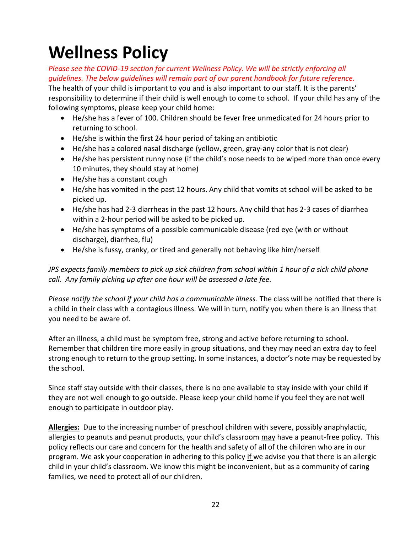# **Wellness Policy**

*Please see the COVID-19 section for current Wellness Policy. We will be strictly enforcing all guidelines. The below guidelines will remain part of our parent handbook for future reference.*

The health of your child is important to you and is also important to our staff. It is the parents' responsibility to determine if their child is well enough to come to school. If your child has any of the following symptoms, please keep your child home:

- He/she has a fever of 100. Children should be fever free unmedicated for 24 hours prior to returning to school.
- He/she is within the first 24 hour period of taking an antibiotic
- He/she has a colored nasal discharge (yellow, green, gray-any color that is not clear)
- He/she has persistent runny nose (if the child's nose needs to be wiped more than once every 10 minutes, they should stay at home)
- He/she has a constant cough
- He/she has vomited in the past 12 hours. Any child that vomits at school will be asked to be picked up.
- He/she has had 2-3 diarrheas in the past 12 hours. Any child that has 2-3 cases of diarrhea within a 2-hour period will be asked to be picked up.
- He/she has symptoms of a possible communicable disease (red eye (with or without discharge), diarrhea, flu)
- He/she is fussy, cranky, or tired and generally not behaving like him/herself

*JPS expects family members to pick up sick children from school within 1 hour of a sick child phone call. Any family picking up after one hour will be assessed a late fee.*

*Please notify the school if your child has a communicable illness*. The class will be notified that there is a child in their class with a contagious illness. We will in turn, notify you when there is an illness that you need to be aware of.

After an illness, a child must be symptom free, strong and active before returning to school. Remember that children tire more easily in group situations, and they may need an extra day to feel strong enough to return to the group setting. In some instances, a doctor's note may be requested by the school.

Since staff stay outside with their classes, there is no one available to stay inside with your child if they are not well enough to go outside. Please keep your child home if you feel they are not well enough to participate in outdoor play.

**Allergies:** Due to the increasing number of preschool children with severe, possibly anaphylactic, allergies to peanuts and peanut products, your child's classroom may have a peanut-free policy. This policy reflects our care and concern for the health and safety of all of the children who are in our program. We ask your cooperation in adhering to this policy if we advise you that there is an allergic child in your child's classroom. We know this might be inconvenient, but as a community of caring families, we need to protect all of our children.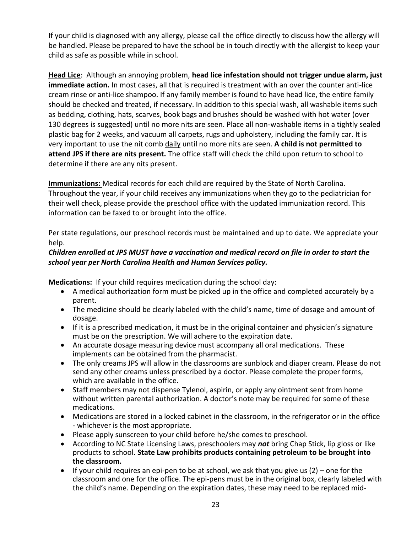If your child is diagnosed with any allergy, please call the office directly to discuss how the allergy will be handled. Please be prepared to have the school be in touch directly with the allergist to keep your child as safe as possible while in school.

**Head Lice**: Although an annoying problem, **head lice infestation should not trigger undue alarm, just immediate action.** In most cases, all that is required is treatment with an over the counter anti-lice cream rinse or anti-lice shampoo. If any family member is found to have head lice, the entire family should be checked and treated, if necessary. In addition to this special wash, all washable items such as bedding, clothing, hats, scarves, book bags and brushes should be washed with hot water (over 130 degrees is suggested) until no more nits are seen. Place all non-washable items in a tightly sealed plastic bag for 2 weeks, and vacuum all carpets, rugs and upholstery, including the family car. It is very important to use the nit comb daily until no more nits are seen. **A child is not permitted to attend JPS if there are nits present.** The office staff will check the child upon return to school to determine if there are any nits present.

**Immunizations:** Medical records for each child are required by the State of North Carolina. Throughout the year, if your child receives any immunizations when they go to the pediatrician for their well check, please provide the preschool office with the updated immunization record. This information can be faxed to or brought into the office.

Per state regulations, our preschool records must be maintained and up to date. We appreciate your help.

### *Children enrolled at JPS MUST have a vaccination and medical record on file in order to start the school year per North Carolina Health and Human Services policy.*

**Medications:** If your child requires medication during the school day:

- A medical authorization form must be picked up in the office and completed accurately by a parent.
- The medicine should be clearly labeled with the child's name, time of dosage and amount of dosage.
- If it is a prescribed medication, it must be in the original container and physician's signature must be on the prescription. We will adhere to the expiration date.
- An accurate dosage measuring device must accompany all oral medications. These implements can be obtained from the pharmacist.
- The only creams JPS will allow in the classrooms are sunblock and diaper cream. Please do not send any other creams unless prescribed by a doctor. Please complete the proper forms, which are available in the office.
- Staff members may not dispense Tylenol, aspirin, or apply any ointment sent from home without written parental authorization. A doctor's note may be required for some of these medications.
- Medications are stored in a locked cabinet in the classroom, in the refrigerator or in the office - whichever is the most appropriate.
- Please apply sunscreen to your child before he/she comes to preschool.
- According to NC State Licensing Laws, preschoolers may *not* bring Chap Stick, lip gloss or like products to school. **State Law prohibits products containing petroleum to be brought into the classroom.**
- $\bullet$  If your child requires an epi-pen to be at school, we ask that you give us (2) one for the classroom and one for the office. The epi-pens must be in the original box, clearly labeled with the child's name. Depending on the expiration dates, these may need to be replaced mid-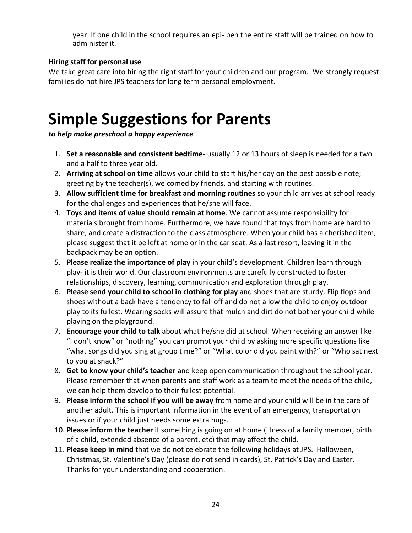year. If one child in the school requires an epi- pen the entire staff will be trained on how to administer it.

### **Hiring staff for personal use**

We take great care into hiring the right staff for your children and our program. We strongly request families do not hire JPS teachers for long term personal employment.

# **Simple Suggestions for Parents**

*to help make preschool a happy experience*

- 1. **Set a reasonable and consistent bedtime** usually 12 or 13 hours of sleep is needed for a two and a half to three year old.
- 2. **Arriving at school on time** allows your child to start his/her day on the best possible note; greeting by the teacher(s), welcomed by friends, and starting with routines.
- 3. **Allow sufficient time for breakfast and morning routines** so your child arrives at school ready for the challenges and experiences that he/she will face.
- 4. **Toys and items of value should remain at home**. We cannot assume responsibility for materials brought from home. Furthermore, we have found that toys from home are hard to share, and create a distraction to the class atmosphere. When your child has a cherished item, please suggest that it be left at home or in the car seat. As a last resort, leaving it in the backpack may be an option.
- 5. **Please realize the importance of play** in your child's development. Children learn through play- it is their world. Our classroom environments are carefully constructed to foster relationships, discovery, learning, communication and exploration through play.
- 6. **Please send your child to school in clothing for play** and shoes that are sturdy. Flip flops and shoes without a back have a tendency to fall off and do not allow the child to enjoy outdoor play to its fullest. Wearing socks will assure that mulch and dirt do not bother your child while playing on the playground.
- 7. **Encourage your child to talk** about what he/she did at school. When receiving an answer like "I don't know" or "nothing" you can prompt your child by asking more specific questions like "what songs did you sing at group time?" or "What color did you paint with?" or "Who sat next to you at snack?"
- 8. **Get to know your child's teacher** and keep open communication throughout the school year. Please remember that when parents and staff work as a team to meet the needs of the child, we can help them develop to their fullest potential.
- 9. **Please inform the school if you will be away** from home and your child will be in the care of another adult. This is important information in the event of an emergency, transportation issues or if your child just needs some extra hugs.
- 10. **Please inform the teacher** if something is going on at home (illness of a family member, birth of a child, extended absence of a parent, etc) that may affect the child.
- 11. **Please keep in mind** that we do not celebrate the following holidays at JPS. Halloween, Christmas, St. Valentine's Day (please do not send in cards), St. Patrick's Day and Easter. Thanks for your understanding and cooperation.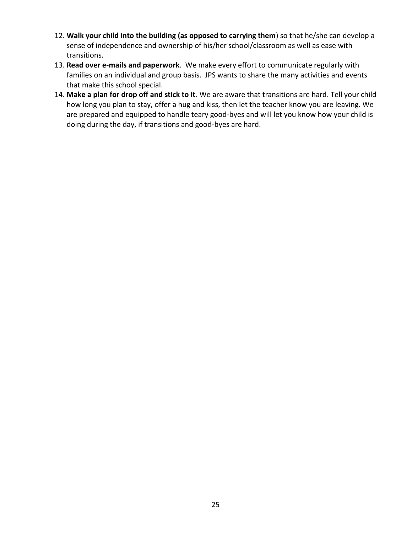- 12. **Walk your child into the building (as opposed to carrying them**) so that he/she can develop a sense of independence and ownership of his/her school/classroom as well as ease with transitions.
- 13. **Read over e-mails and paperwork**. We make every effort to communicate regularly with families on an individual and group basis. JPS wants to share the many activities and events that make this school special.
- 14. **Make a plan for drop off and stick to it**. We are aware that transitions are hard. Tell your child how long you plan to stay, offer a hug and kiss, then let the teacher know you are leaving. We are prepared and equipped to handle teary good-byes and will let you know how your child is doing during the day, if transitions and good-byes are hard.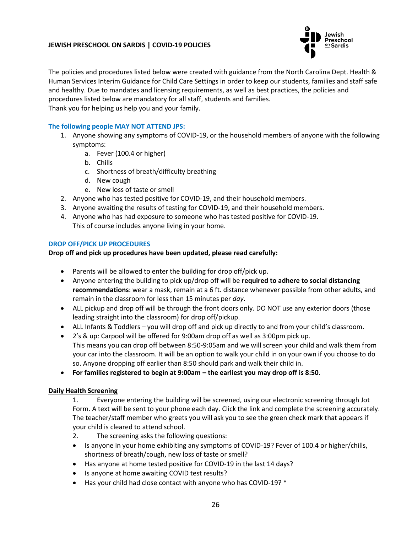#### **JEWISH PRESCHOOL ON SARDIS | COVID-19 POLICIES**



The policies and procedures listed below were created with guidance from the North Carolina Dept. Health & Human Services Interim Guidance for Child Care Settings in order to keep our students, families and staff safe and healthy. Due to mandates and licensing requirements, as well as best practices, the policies and procedures listed below are mandatory for all staff, students and families. Thank you for helping us help you and your family.

#### **The following people MAY NOT ATTEND JPS:**

- 1. Anyone showing any symptoms of COVID-19, or the household members of anyone with the following symptoms:
	- a. Fever (100.4 or higher)
	- b. Chills
	- c. Shortness of breath/difficulty breathing
	- d. New cough
	- e. New loss of taste or smell
- 2. Anyone who has tested positive for COVID-19, and their household members.
- 3. Anyone awaiting the results of testing for COVID-19, and their household members.
- 4. Anyone who has had exposure to someone who has tested positive for COVID-19. This of course includes anyone living in your home.

#### **DROP OFF/PICK UP PROCEDURES**

#### **Drop off and pick up procedures have been updated, please read carefully:**

- Parents will be allowed to enter the building for drop off/pick up.
- Anyone entering the building to pick up/drop off will be **required to adhere to social distancing recommendations**: wear a mask, remain at a 6 ft. distance whenever possible from other adults, and remain in the classroom for less than 15 minutes per *day*.
- ALL pickup and drop off will be through the front doors only. DO NOT use any exterior doors (those leading straight into the classroom) for drop off/pickup.
- ALL Infants & Toddlers you will drop off and pick up directly to and from your child's classroom.
- 2's & up: Carpool will be offered for 9:00am drop off as well as 3:00pm pick up. This means you can drop off between 8:50-9:05am and we will screen your child and walk them from your car into the classroom. It will be an option to walk your child in on your own if you choose to do so. Anyone dropping off earlier than 8:50 should park and walk their child in.
- **For families registered to begin at 9:00am – the earliest you may drop off is 8:50.**

#### **Daily Health Screening**

- 1. Everyone entering the building will be screened, using our electronic screening through Jot Form. A text will be sent to your phone each day. Click the link and complete the screening accurately. The teacher/staff member who greets you will ask you to see the green check mark that appears if your child is cleared to attend school.
- 2. The screening asks the following questions:
- Is anyone in your home exhibiting any symptoms of COVID-19? Fever of 100.4 or higher/chills, shortness of breath/cough, new loss of taste or smell?
- Has anyone at home tested positive for COVID-19 in the last 14 days?
- Is anyone at home awaiting COVID test results?
- Has your child had close contact with anyone who has COVID-19? \*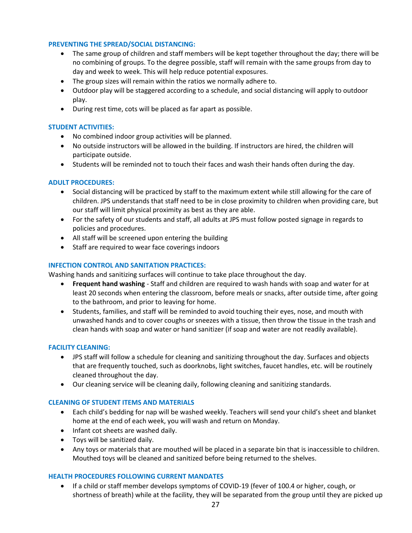#### **PREVENTING THE SPREAD/SOCIAL DISTANCING:**

- The same group of children and staff members will be kept together throughout the day; there will be no combining of groups. To the degree possible, staff will remain with the same groups from day to day and week to week. This will help reduce potential exposures.
- The group sizes will remain within the ratios we normally adhere to.
- Outdoor play will be staggered according to a schedule, and social distancing will apply to outdoor play.
- During rest time, cots will be placed as far apart as possible.

#### **STUDENT ACTIVITIES:**

- No combined indoor group activities will be planned.
- No outside instructors will be allowed in the building. If instructors are hired, the children will participate outside.
- Students will be reminded not to touch their faces and wash their hands often during the day.

#### **ADULT PROCEDURES:**

- Social distancing will be practiced by staff to the maximum extent while still allowing for the care of children. JPS understands that staff need to be in close proximity to children when providing care, but our staff will limit physical proximity as best as they are able.
- For the safety of our students and staff, all adults at JPS must follow posted signage in regards to policies and procedures.
- All staff will be screened upon entering the building
- Staff are required to wear face coverings indoors

#### **INFECTION CONTROL AND SANITATION PRACTICES:**

Washing hands and sanitizing surfaces will continue to take place throughout the day.

- **Frequent hand washing** Staff and children are required to wash hands with soap and water for at least 20 seconds when entering the classroom, before meals or snacks, after outside time, after going to the bathroom, and prior to leaving for home.
- Students, families, and staff will be reminded to avoid touching their eyes, nose, and mouth with unwashed hands and to cover coughs or sneezes with a tissue, then throw the tissue in the trash and clean hands with soap and water or hand sanitizer (if soap and water are not readily available).

#### **FACILITY CLEANING:**

- JPS staff will follow a schedule for cleaning and sanitizing throughout the day. Surfaces and objects that are frequently touched, such as doorknobs, light switches, faucet handles, etc. will be routinely cleaned throughout the day.
- Our cleaning service will be cleaning daily, following cleaning and sanitizing standards.

#### **CLEANING OF STUDENT ITEMS AND MATERIALS**

- Each child's bedding for nap will be washed weekly. Teachers will send your child's sheet and blanket home at the end of each week, you will wash and return on Monday.
- Infant cot sheets are washed daily.
- Toys will be sanitized daily.
- Any toys or materials that are mouthed will be placed in a separate bin that is inaccessible to children. Mouthed toys will be cleaned and sanitized before being returned to the shelves.

#### **HEALTH PROCEDURES FOLLOWING CURRENT MANDATES**

• If a child or staff member develops symptoms of COVID-19 (fever of 100.4 or higher, cough, or shortness of breath) while at the facility, they will be separated from the group until they are picked up